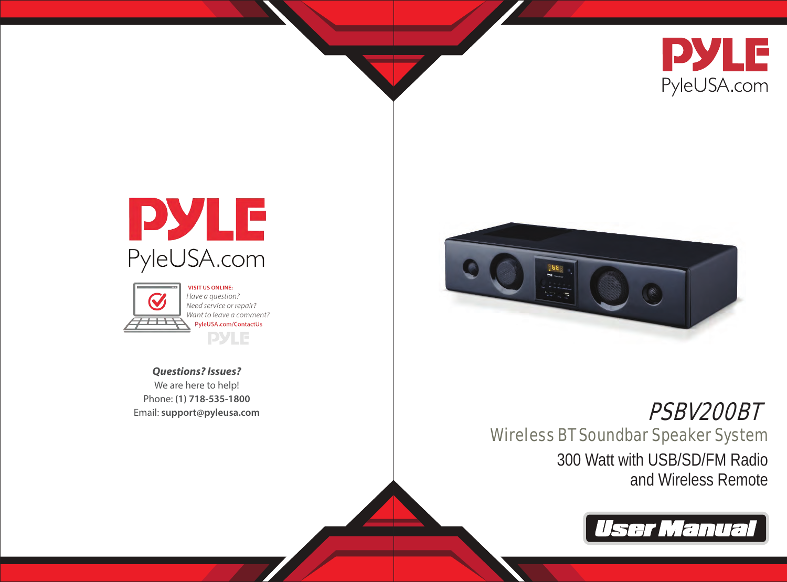





Have a auestion? Need service or repair? Want to leave a comment? PyleUSA.com/ContactUs **PYLE** 

*Questions? Issues?* We are here to help! Phone: **(1) 718-535-1800** Email: **support@pyleusa.com**



# PSBV200BT

Wireless BT Soundbar Speaker System 300 Watt with USB/SD/FM Radio and Wireless Remote

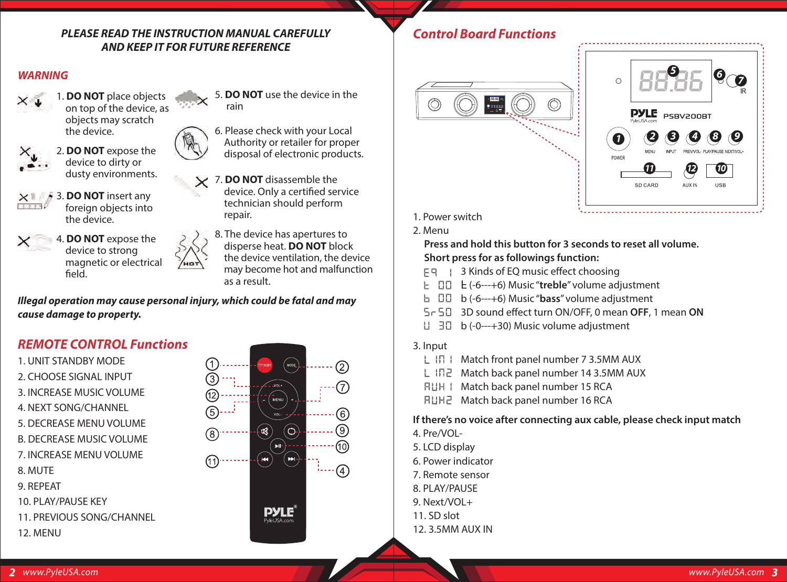## *PLEASE READ THE INSTRUCTION MANUAL CAREFULLY AND KEEP IT FOR FUTURE REFERENCE*

## *WARNING*



1. **DO NOT** place objects on top of the device, as objects may scratch the device.



2. **DO NOT** expose the device to dirty or dusty environments.



3. **DO NOT** insert any foreign objects into the device.



4. **DO NOT** expose the device to strong magnetic or electrical field.



5. **DO NOT** use the device in the rain

6. Please check with your Local Authority or retailer for proper disposaI of electronic products.

7. **DO NOT** disassemble the device. Only a certified service technician should perform repair.

> 8. The device has apertures to disperse heat. **DO NOT** block the device ventilation, the device may become hot and malfunction as a result.

*Illegal operation may cause personal injury, which could be fatal and may cause damage to property.*

# *REMOTE CONTROL Functions*





# *Control Board Functions*





1. Power switch

2. Menu

### **Press and hold this button for 3 seconds to reset all volume. Short press for as followings function:**

- 도덕 : 3 Kinds of EO music effect choosing
- (-6---+6) Music "**treble**" volume adjustment
- b (-6---+6) Music "**bass**" volume adjustment
- 3D sound effect turn ON/OFF, 0 mean OFF, 1 mean ON
- b (-0---+30) Music volume adjustment
- 3. Input
	- $L$   $IR$   $I$  Match front panel number 7 3.5MM AUX
	- L IN2 Match back panel number 14 3.5MM AUX
	- **FLIH | Match back panel number 15 RCA**
	- **RUH2** Match back panel number 16 RCA

**If there's no voice after connecting aux cable, please check input match** 4. Pre/VOL-

- 5. LCD display
- 6. Power indicator
- 7. Remote sensor
- 8. PLAY/PAUSE
- 9. Next/VOL+
- 11. SD slot
- 12. 3.5MM AUX IN